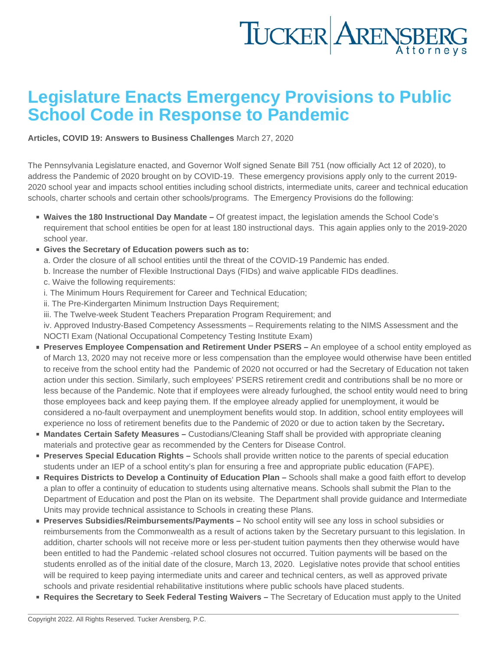## Legislature Enacts Emergency Provisions to Public School Code in Response to Pandemic

[Articles](https://www.tuckerlaw.com/category/articles/), [COVID 19: Answers to Business Challenges](https://www.tuckerlaw.com/category/covid-19-answers-to-business-challenges/) March 27, 2020

The Pennsylvania Legislature enacted, and Governor Wolf signed Senate Bill 751 (now officially Act 12 of 2020), to address the Pandemic of 2020 brought on by COVID-19. These emergency provisions apply only to the current 2019- 2020 school year and impacts school entities including school districts, intermediate units, career and technical education schools, charter schools and certain other schools/programs. The Emergency Provisions do the following:

- Waives the 180 Instructional Day Mandate Of greatest impact, the legislation amends the School Code's requirement that school entities be open for at least 180 instructional days. This again applies only to the 2019-2020 school year.
- Gives the Secretary of Education powers such as to:
	- a. Order the closure of all school entities until the threat of the COVID-19 Pandemic has ended.
	- b. Increase the number of Flexible Instructional Days (FIDs) and waive applicable FIDs deadlines.
	- c. Waive the following requirements:
	- i. The Minimum Hours Requirement for Career and Technical Education;
	- ii. The Pre-Kindergarten Minimum Instruction Days Requirement;
	- iii. The Twelve-week Student Teachers Preparation Program Requirement; and

iv. Approved Industry-Based Competency Assessments – Requirements relating to the NIMS Assessment and the NOCTI Exam (National Occupational Competency Testing Institute Exam)

- Preserves Employee Compensation and Retirement Under PSERS An employee of a school entity employed as of March 13, 2020 may not receive more or less compensation than the employee would otherwise have been entitled to receive from the school entity had the Pandemic of 2020 not occurred or had the Secretary of Education not taken action under this section. Similarly, such employees' PSERS retirement credit and contributions shall be no more or less because of the Pandemic. Note that if employees were already furloughed, the school entity would need to bring those employees back and keep paying them. If the employee already applied for unemployment, it would be considered a no-fault overpayment and unemployment benefits would stop. In addition, school entity employees will experience no loss of retirement benefits due to the Pandemic of 2020 or due to action taken by the Secretary.
- Mandates Certain Safety Measures Custodians/Cleaning Staff shall be provided with appropriate cleaning materials and protective gear as recommended by the Centers for Disease Control.
- Preserves Special Education Rights Schools shall provide written notice to the parents of special education students under an IEP of a school entity's plan for ensuring a free and appropriate public education (FAPE).
- Requires Districts to Develop a Continuity of Education Plan Schools shall make a good faith effort to develop a plan to offer a continuity of education to students using alternative means. Schools shall submit the Plan to the Department of Education and post the Plan on its website. The Department shall provide guidance and Intermediate Units may provide technical assistance to Schools in creating these Plans.
- Preserves Subsidies/Reimbursements/Payments No school entity will see any loss in school subsidies or reimbursements from the Commonwealth as a result of actions taken by the Secretary pursuant to this legislation. In addition, charter schools will not receive more or less per-student tuition payments then they otherwise would have been entitled to had the Pandemic -related school closures not occurred. Tuition payments will be based on the students enrolled as of the initial date of the closure, March 13, 2020. Legislative notes provide that school entities will be required to keep paying intermediate units and career and technical centers, as well as approved private schools and private residential rehabilitative institutions where public schools have placed students.
- Requires the Secretary to Seek Federal Testing Waivers The Secretary of Education must apply to the United